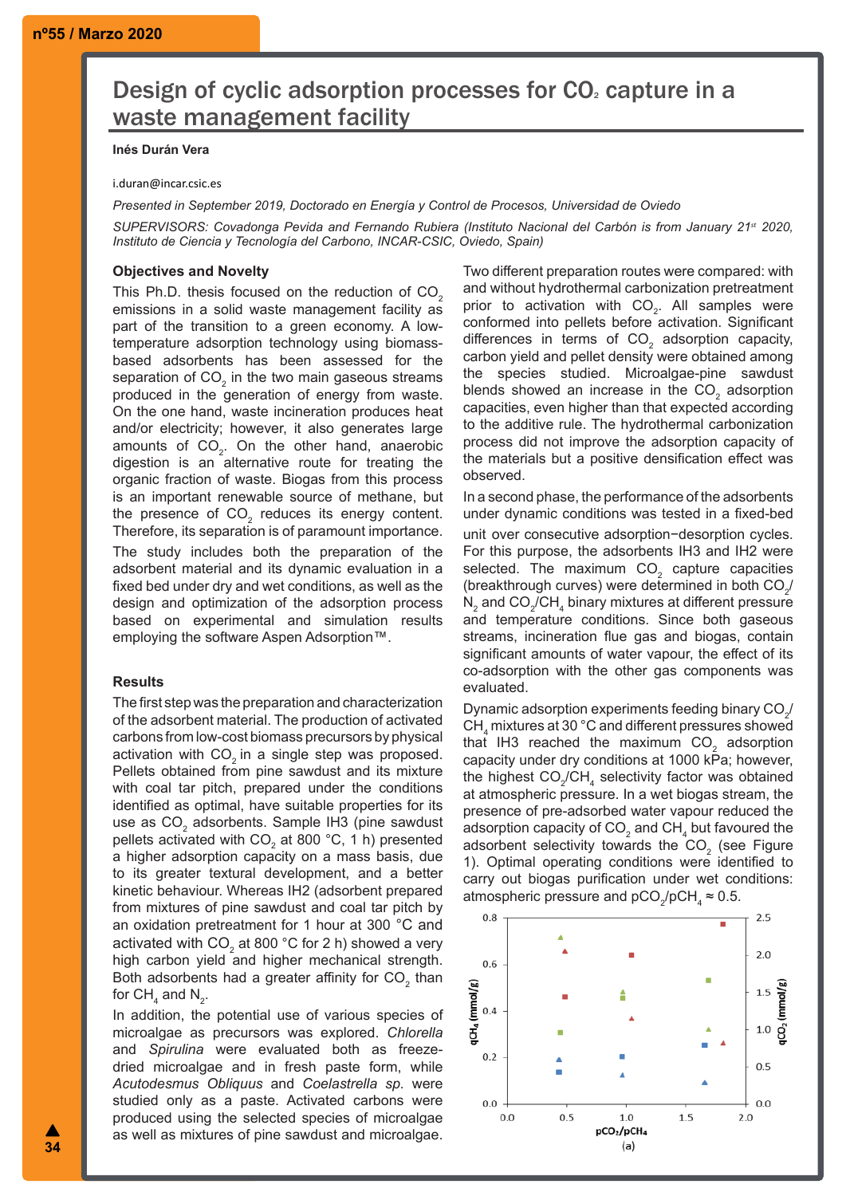# Design of cyclic adsorption processes for CO<sub>2</sub> capture in a waste management facility

## **Inés Durán Vera**

#### i.duran@incar.csic.es

*Presented in September 2019, Doctorado en Energía y Control de Procesos, Universidad de Oviedo*

*SUPERVISORS: Covadonga Pevida and Fernando Rubiera (Instituto Nacional del Carbón is from January 21st 2020, Instituto de Ciencia y Tecnología del Carbono, INCAR-CSIC, Oviedo, Spain)*

# **Objectives and Novelty**

This Ph.D. thesis focused on the reduction of  $CO<sub>2</sub>$ emissions in a solid waste management facility as part of the transition to a green economy. A lowtemperature adsorption technology using biomassbased adsorbents has been assessed for the separation of CO $_{\textrm{\tiny{2}}}$  in the two main gaseous streams produced in the generation of energy from waste. On the one hand, waste incineration produces heat and/or electricity; however, it also generates large amounts of  $CO<sub>2</sub>$ . On the other hand, anaerobic digestion is an alternative route for treating the organic fraction of waste. Biogas from this process is an important renewable source of methane, but the presence of  $CO<sub>2</sub>$  reduces its energy content. Therefore, its separation is of paramount importance.

The study includes both the preparation of the adsorbent material and its dynamic evaluation in a fixed bed under dry and wet conditions, as well as the design and optimization of the adsorption process based on experimental and simulation results employing the software Aspen Adsorption™.

## **Results**

The first step was the preparation and characterization of the adsorbent material. The production of activated carbons from low-cost biomass precursors by physical activation with CO<sub>2</sub> in a single step was proposed. Pellets obtained from pine sawdust and its mixture with coal tar pitch, prepared under the conditions identified as optimal, have suitable properties for its use as CO $_{\tiny 2}$  adsorbents. Sample IH3 (pine sawdust pellets activated with CO $_2$  at 800 °C, 1 h) presented a higher adsorption capacity on a mass basis, due to its greater textural development, and a better kinetic behaviour. Whereas IH2 (adsorbent prepared from mixtures of pine sawdust and coal tar pitch by an oxidation pretreatment for 1 hour at 300 °C and activated with CO $_2$  at 800 °C for 2 h) showed a very high carbon yield and higher mechanical strength. Both adsorbents had a greater affinity for CO $_{\textrm{\tiny{2}}}$  than for CH $_4$  and N $_2$ .

In addition, the potential use of various species of microalgae as precursors was explored. *Chlorella* and *Spirulina* were evaluated both as freezedried microalgae and in fresh paste form, while *Acutodesmus Obliquus* and *Coelastrella sp.* were studied only as a paste. Activated carbons were produced using the selected species of microalgae as well as mixtures of pine sawdust and microalgae.

Two different preparation routes were compared: with and without hydrothermal carbonization pretreatment prior to activation with  $CO<sub>2</sub>$ . All samples were conformed into pellets before activation. Significant differences in terms of  $CO<sub>2</sub>$  adsorption capacity, carbon yield and pellet density were obtained among the species studied. Microalgae-pine sawdust blends showed an increase in the CO<sub>2</sub> adsorption capacities, even higher than that expected according to the additive rule. The hydrothermal carbonization process did not improve the adsorption capacity of the materials but a positive densification effect was observed.

In a second phase, the performance of the adsorbents under dynamic conditions was tested in a fixed-bed unit over consecutive adsorption−desorption cycles. For this purpose, the adsorbents IH3 and IH2 were selected. The maximum  $\mathsf{CO}_2^-$  capture capacities (breakthrough curves) were determined in both  $\mathsf{CO}_{2^{\prime}}$  $\mathsf{N}_2$  and CO $_2$ /CH $_4$  binary mixtures at different pressure and temperature conditions. Since both gaseous streams, incineration flue gas and biogas, contain significant amounts of water vapour, the effect of its co-adsorption with the other gas components was evaluated.

Dynamic adsorption experiments feeding binary CO $_2$  $\textsf{CH}_4$  mixtures at 30 °C and different pressures showed that IH3 reached the maximum  $\text{CO}_2^-$  adsorption capacity under dry conditions at 1000 kPa; however, the highest  $\mathsf{CO}_2/\mathsf{CH}_4$  selectivity factor was obtained at atmospheric pressure. In a wet biogas stream, the presence of pre-adsorbed water vapour reduced the adsorption capacity of CO $_2$  and CH $_4$  but favoured the adsorbent selectivity towards the  $\text{CO}_2$  (see Figure 1). Optimal operating conditions were identified to carry out biogas purification under wet conditions: atmospheric pressure and  $pCO_2/pCH_4 \approx 0.5$ .

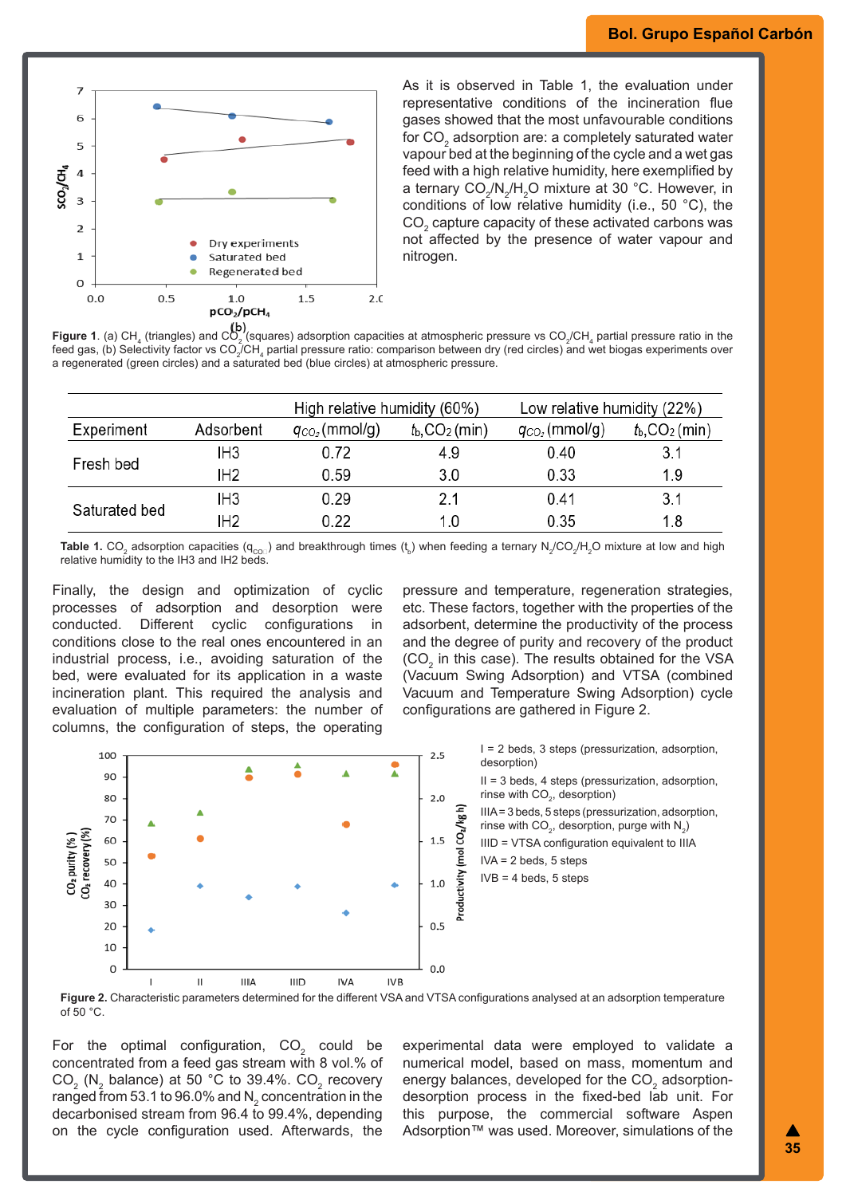

As it is observed in Table 1, the evaluation under representative conditions of the incineration flue gases showed that the most unfavourable conditions for CO $_{\textrm{\tiny{2}}}$  adsorption are: a completely saturated water vapour bed at the beginning of the cycle and a wet gas feed with a high relative humidity, here exemplified by a ternary CO $_2$ /N $_2$ /H $_2$ O mixture at 30 °C. However, in conditions of low relative humidity (i.e., 50 °C), the  $\mathsf{CO}_2^{}$  capture capacity of these activated carbons was not affected by the presence of water vapour and nitrogen.

**Figure 1**. (a) CH $_4$  (triangles) and CO $_2$  (squares) adsorption capacities at atmospheric pressure vs CO $_2$ /CH $_4$  partial pressure ratio in the feed gas, (b) Selectivity factor vs CO<sub>2</sub>/CH<sub>4</sub> partial pressure ratio: comparison between dry (red circles) and wet biogas experiments over a regenerated (green circles) and a saturated bed (blue circles) at atmospheric pressure.

|               |                 | High relative humidity (60%) |                                     | Low relative humidity (22%) |                                |
|---------------|-----------------|------------------------------|-------------------------------------|-----------------------------|--------------------------------|
| Experiment    | Adsorbent       | $q_{CO_2}$ (mmol/g)          | $t_{\rm b}$ , CO <sub>2</sub> (min) | $q_{CO_2}$ (mmol/g)         | $t_{b}$ ,CO <sub>2</sub> (min) |
| Fresh bed     | IH <sub>3</sub> | 0.72                         | 4.9                                 | 0.40                        | 3.1                            |
|               | IH <sub>2</sub> | 0.59                         | 3.0                                 | 0.33                        | 1.9                            |
| Saturated bed | IH <sub>3</sub> | 0.29                         | 2.1                                 | 0.41                        | 3.1                            |
|               | IH <sub>2</sub> | 0.22                         | 1.0                                 | 0.35                        | 1.8                            |

**Table 1.** CO $_2$  adsorption capacities (q<sub>co□</sub>) and breakthrough times (t<sub>b</sub>) when feeding a ternary N<sub>2</sub>/CO<sub>2</sub>/H<sub>2</sub>O mixture at low and high relative humidity to the IH3 and IH2 beds.

Finally, the design and optimization of cyclic processes of adsorption and desorption were conducted. Different cyclic configurations in conditions close to the real ones encountered in an industrial process, i.e., avoiding saturation of the bed, were evaluated for its application in a waste incineration plant. This required the analysis and evaluation of multiple parameters: the number of columns, the configuration of steps, the operating

pressure and temperature, regeneration strategies, etc. These factors, together with the properties of the adsorbent, determine the productivity of the process and the degree of purity and recovery of the product (CO<sub>2</sub> in this case). The results obtained for the VSA (Vacuum Swing Adsorption) and VTSA (combined Vacuum and Temperature Swing Adsorption) cycle configurations are gathered in Figure 2.



II = 3 beds, 4 steps (pressurization, adsorption, rinse with  $CO<sub>2</sub>$ , desorption)

IIIA = 3 beds, 5 steps (pressurization, adsorption, rinse with CO<sub>2</sub>, desorption, purge with N<sub>2</sub>)

IIID = VTSA configuration equivalent to IIIA

**Figure 2.** Characteristic parameters determined for the different VSA and VTSA configurations analysed at an adsorption temperature of 50 °C.

For the optimal configuration, CO $_{\text{2}}$  could be concentrated from a feed gas stream with 8 vol.% of CO $_{\rm _2}$  (N $_{\rm _2}$  balance) at 50 °C to 39.4%. CO $_{\rm _2}$  recovery ranged from 53.1 to 96.0% and N $_{\textrm{\tiny{2}}}$  concentration in the decarbonised stream from 96.4 to 99.4%, depending on the cycle configuration used. Afterwards, the

experimental data were employed to validate a numerical model, based on mass, momentum and energy balances, developed for the CO $_{\textrm{\tiny{2}}}$  adsorptiondesorption process in the fixed-bed lab unit. For this purpose, the commercial software Aspen Adsorption™ was used. Moreover, simulations of the